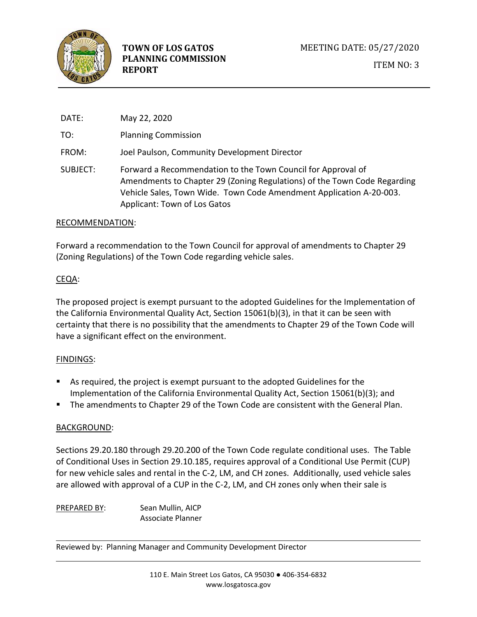

DATE: May 22, 2020 TO: Planning Commission FROM: Joel Paulson, Community Development Director SUBJECT: Forward a Recommendation to the Town Council for Approval of Amendments to Chapter 29 (Zoning Regulations) of the Town Code Regarding Vehicle Sales, Town Wide. Town Code Amendment Application A-20-003. Applicant: Town of Los Gatos

#### RECOMMENDATION:

Forward a recommendation to the Town Council for approval of amendments to Chapter 29 (Zoning Regulations) of the Town Code regarding vehicle sales.

### CEQA:

The proposed project is exempt pursuant to the adopted Guidelines for the Implementation of the California Environmental Quality Act, Section 15061(b)(3), in that it can be seen with certainty that there is no possibility that the amendments to Chapter 29 of the Town Code will have a significant effect on the environment.

### FINDINGS:

- As required, the project is exempt pursuant to the adopted Guidelines for the Implementation of the California Environmental Quality Act, Section 15061(b)(3); and
- The amendments to Chapter 29 of the Town Code are consistent with the General Plan.

### BACKGROUND:

Sections 29.20.180 through 29.20.200 of the Town Code regulate conditional uses. The Table of Conditional Uses in Section 29.10.185, requires approval of a Conditional Use Permit (CUP) for new vehicle sales and rental in the C-2, LM, and CH zones. Additionally, used vehicle sales are allowed with approval of a CUP in the C-2, LM, and CH zones only when their sale is

PREPARED BY: Sean Mullin, AICP Associate Planner

Reviewed by: Planning Manager and Community Development Director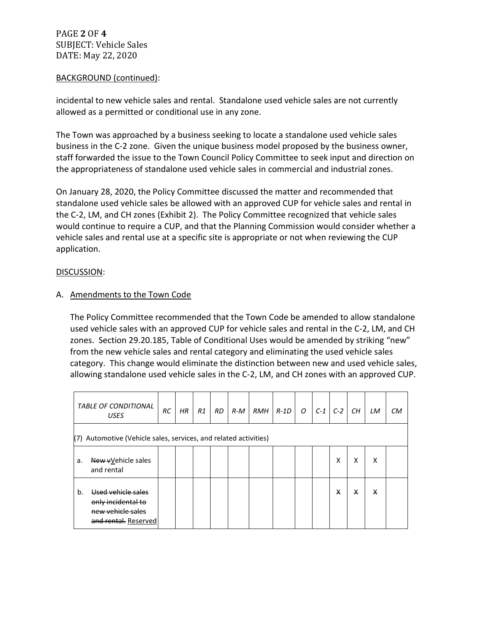PAGE **2** OF **4** SUBJECT: Vehicle Sales DATE: May 22, 2020

#### BACKGROUND (continued):

incidental to new vehicle sales and rental. Standalone used vehicle sales are not currently allowed as a permitted or conditional use in any zone.

The Town was approached by a business seeking to locate a standalone used vehicle sales business in the C-2 zone. Given the unique business model proposed by the business owner, staff forwarded the issue to the Town Council Policy Committee to seek input and direction on the appropriateness of standalone used vehicle sales in commercial and industrial zones.

On January 28, 2020, the Policy Committee discussed the matter and recommended that standalone used vehicle sales be allowed with an approved CUP for vehicle sales and rental in the C-2, LM, and CH zones (Exhibit 2). The Policy Committee recognized that vehicle sales would continue to require a CUP, and that the Planning Commission would consider whether a vehicle sales and rental use at a specific site is appropriate or not when reviewing the CUP application.

#### DISCUSSION:

### A. Amendments to the Town Code

The Policy Committee recommended that the Town Code be amended to allow standalone used vehicle sales with an approved CUP for vehicle sales and rental in the C-2, LM, and CH zones. Section 29.20.185, Table of Conditional Uses would be amended by striking "new" from the new vehicle sales and rental category and eliminating the used vehicle sales category. This change would eliminate the distinction between new and used vehicle sales, allowing standalone used vehicle sales in the C-2, LM, and CH zones with an approved CUP.

| <b>TABLE OF CONDITIONAL</b><br><b>USES</b>                                                  | RС | HR | R1 | <b>RD</b> | $R-M$ | <b>RMH</b> | $R$ -1D | $\overline{O}$ | $C-1$ | $C-2$ | CН | LM | <b>CM</b> |
|---------------------------------------------------------------------------------------------|----|----|----|-----------|-------|------------|---------|----------------|-------|-------|----|----|-----------|
| (7) Automotive (Vehicle sales, services, and related activities)                            |    |    |    |           |       |            |         |                |       |       |    |    |           |
| New vVehicle sales<br>a.<br>and rental                                                      |    |    |    |           |       |            |         |                |       | x     | x  | x  |           |
| Used vehicle sales<br>b.<br>only incidental to<br>new vehicle sales<br>and rental. Reserved |    |    |    |           |       |            |         |                |       | X     | X  | X  |           |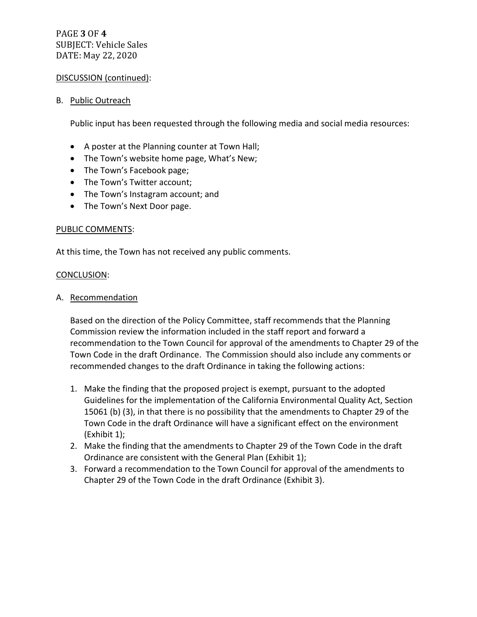# PAGE **3** OF **4** SUBJECT: Vehicle Sales DATE: May 22, 2020

#### DISCUSSION (continued):

#### B. Public Outreach

Public input has been requested through the following media and social media resources:

- A poster at the Planning counter at Town Hall;
- The Town's website home page, What's New;
- The Town's Facebook page;
- The Town's Twitter account;
- The Town's Instagram account; and
- The Town's Next Door page.

#### PUBLIC COMMENTS:

At this time, the Town has not received any public comments.

#### CONCLUSION:

#### A. Recommendation

Based on the direction of the Policy Committee, staff recommends that the Planning Commission review the information included in the staff report and forward a recommendation to the Town Council for approval of the amendments to Chapter 29 of the Town Code in the draft Ordinance. The Commission should also include any comments or recommended changes to the draft Ordinance in taking the following actions:

- 1. Make the finding that the proposed project is exempt, pursuant to the adopted Guidelines for the implementation of the California Environmental Quality Act, Section 15061 (b) (3), in that there is no possibility that the amendments to Chapter 29 of the Town Code in the draft Ordinance will have a significant effect on the environment (Exhibit 1);
- 2. Make the finding that the amendments to Chapter 29 of the Town Code in the draft Ordinance are consistent with the General Plan (Exhibit 1);
- 3. Forward a recommendation to the Town Council for approval of the amendments to Chapter 29 of the Town Code in the draft Ordinance (Exhibit 3).